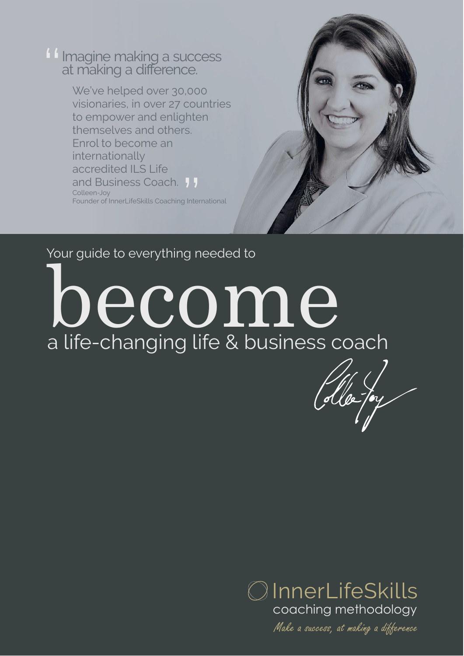I Imagine making a success<br>at making a difference.

We've helped over 30,000 visionaries, in over 27 countries to empower and enlighten themselves and others. Enrol to become an internationally accredited ILS Life and Business Coach. 11 Colleen-Joy Founder of InnerLifeSkills Coaching International  $\frac{1}{2}$  Inter

#### Your guide to everything needed to

become a life-changing life & business coach



Make a success, at making a difference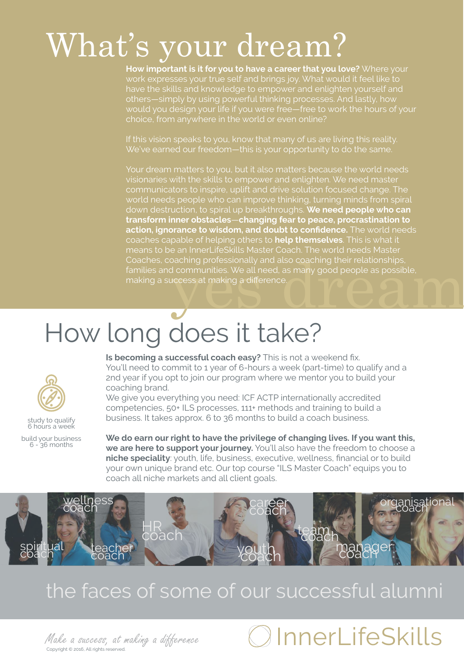### What's your dream?

**How important is it for you to have a career that you love?** Where your work expresses your true self and brings joy. What would it feel like to have the skills and knowledge to empower and enlighten yourself and others—simply by using powerful thinking processes. And lastly, how would you design your life if you were free—free to work the hours of your

If this vision speaks to you, know that many of us are living this reality. We've earned our freedom—this is your opportunity to do the same.

oaching professionally and also coaching their relationships,<br>d communities. We all need, as many good people as possible,<br>uccess at making a difference. Your dream matters to you, but it also matters because the world needs visionaries with the skills to empower and enlighten. We need master communicators to inspire, uplift and drive solution focused change. The world needs people who can improve thinking, turning minds from spiral down destruction, to spiral up breakthroughs. **We need people who can transform inner obstacles**—**changing fear to peace, procrastination to action, ignorance to wisdom, and doubt to confidence.** The world needs coaches capable of helping others to **help themselves**. This is what it Coaches, coaching professionally and also coaching their relationships, families and communities. We all need, as many good people as possible, making a success at making a difference.

### How long does it take?



study to qualify 6 hours a week

build your business 6 - 36 months

**Is becoming a successful coach easy?** This is not a weekend fix. You'll need to commit to 1 year of 6-hours a week (part-time) to qualify and a 2nd year if you opt to join our program where we mentor you to build your coaching brand.

We give you everything you need: ICF ACTP internationally accredited competencies, 50+ ILS processes, 111+ methods and training to build a business. It takes approx. 6 to 36 months to build a coach business.

**We do earn our right to have the privilege of changing lives. If you want this, we are here to support your journey.** You'll also have the freedom to choose a **niche speciality**: youth, life, business, executive, wellness, financial or to build your own unique brand etc. Our top course "ILS Master Coach" equips you to coach all niche markets and all client goals.



#### the faces of some of our successful alumni

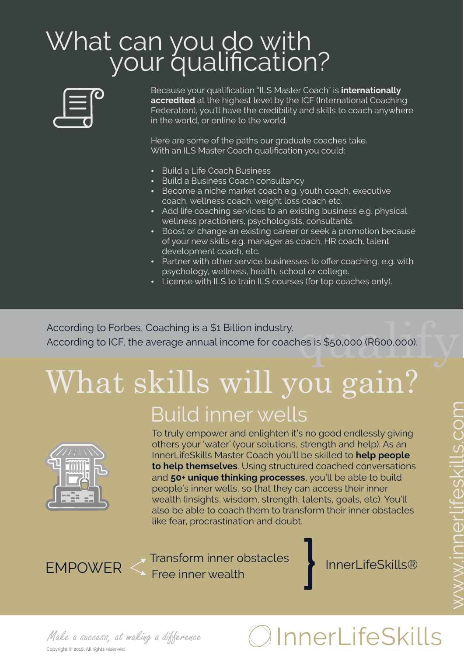#### What can you do with your qualification?



Because your qualification "ILS Master Coach" is **internationally accredited** at the highest level by the ICF (International Coaching Federation), you'll have the credibility and skills to coach anywhere in the world, or online to the world.

Here are some of the paths our graduate coaches take. With an ILS Master Coach qualification you could:

- Build a Life Coach Business
- Build a Business Coach consultancy
- **Become a niche market coach e.g. youth coach, executive** coach, wellness coach, weight loss coach etc.
- Add life coaching services to an existing business e.g. physical wellness practioners, psychologists, consultants.
- Boost or change an existing career or seek a promotion because of your new skills e.g. manager as coach, HR coach, talent development coach, etc.
- Partner with other service businesses to offer coaching, e.g. with psychology, wellness, health, school or college.
- License with ILS to train ILS courses (for top coaches only).

According to Forbes, Coaching is a \$1 Billion industry.<br>According to ICF, the average annual income for coaches is \$50,000 (R600,000). According to ICF, the average annual income for coaches is \$50,000 (R600,000).

### What skills will you gain? Build inner wells



To truly empower and enlighten it's no good endlessly giving others your 'water' (your solutions, strength and help). As an InnerLifeSkills Master Coach you'll be skilled to **help people to help themselves**. Using structured coached conversations and **50+ unique thinking processes**, you'll be able to build people's inner wells, so that they can access their inner wealth (insights, wisdom, strength, talents, goals, etc). You'll also be able to coach them to transform their inner obstacles like fear, procrastination and doubt.

}

Transform inner obstacles EMPOWER <
Free inner wealth

Copyright © 2016, All rights reserved.

### Make a success, at making a difference  $\bigcirc$  InnerLifeSkills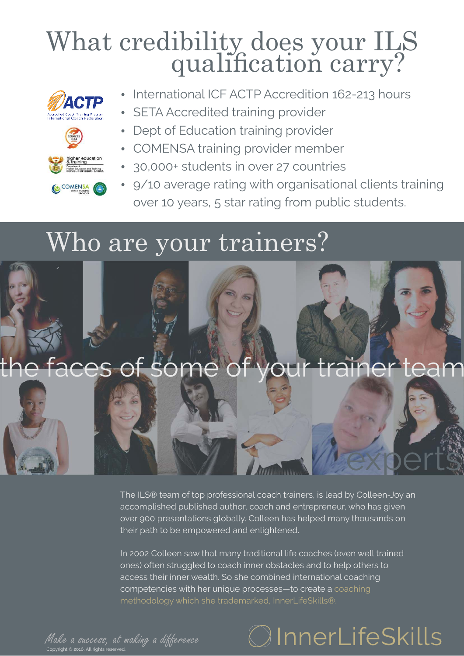### What credibility does your ILS qualification carry?







- International ICF ACTP Accredition 162-213 hours
- SETA Accredited training provider
- Dept of Education training provider
- COMENSA training provider member
- 30,000+ students in over 27 countries
- 9/10 average rating with organisational clients training over 10 years, 5 star rating from public students.

#### Who are your trainers?



The ILS® team of top professional coach trainers, is lead by Colleen-Joy an accomplished published author, coach and entrepreneur, who has given over 900 presentations globally. Colleen has helped many thousands on their path to be empowered and enlightened.

In 2002 Colleen saw that many traditional life coaches (even well trained ones) often struggled to coach inner obstacles and to help others to access their inner wealth. So she combined international coaching competencies with her unique processes—to create a coaching

Make a success, at making a difference

### $\mathfrak I$ InnerLifeSkills

experts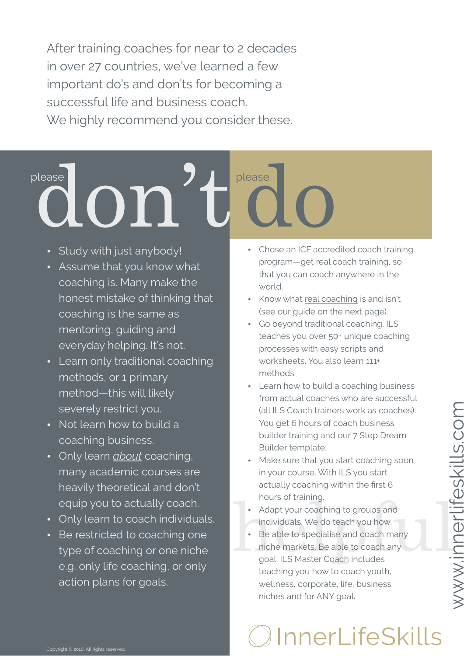After training coaches for near to 2 decades in over 27 countries, we've learned a few important do's and don'ts for becoming a successful life and business coach. We highly recommend you consider these.

# please **don**

- Study with just anybody!
- Assume that you know what coaching is. Many make the honest mistake of thinking that coaching is the same as mentoring, guiding and everyday helping. It's not.
- Learn only traditional coaching methods, or 1 primary method—this will likely severely restrict you.
- Not learn how to build a coaching business.
- Only learn *about* coaching, many academic courses are heavily theoretical and don't equip you to actually coach.
- Only learn to coach individuals.
- Be restricted to coaching one type of coaching or one niche e.g. only life coaching, or only action plans for goals.
- please **do** • Chose an ICF accredited coach training program—get real coach training, so that you can coach anywhere in the world.
	- Know what real coaching is and isn't (see our guide on the next page).
	- Go beyond traditional coaching. ILS teaches you over 50+ unique coaching processes with easy scripts and worksheets. You also learn 111+ methods.
	- Learn how to build a coaching business from actual coaches who are successful (all ILS Coach trainers work as coaches). You get 6 hours of coach business builder training and our 7 Step Dream Builder template.
	- Make sure that you start coaching soon in your course. With ILS you start actually coaching within the first 6 hours of training.
	- Adapt your coaching to groups and individuals. We do teach you how.
- Adapt your coaching to groups and<br>
individuals. We do teach you how.<br>
 Be able to specialise and coach many<br>
niche markets. Be able to coach any<br>
goal. ILS Master Coach includes Be able to specialise and coach many niche markets. Be able to coach any goal. ILS Master Coach includes teaching you how to coach youth, wellness, corporate, life, business niches and for ANY goal.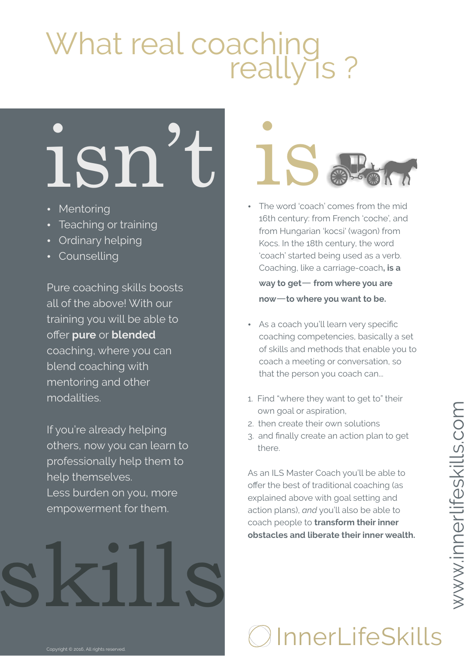### What real coaching really is ?

# **ISN't ISAS**

- Mentoring
- Teaching or training
- Ordinary helping
- Counselling

Pure coaching skills boosts all of the above! With our training you will be able to offer **pure** or **blended**  coaching, where you can blend coaching with mentoring and other modalities.

If you're already helping others, now you can learn to professionally help them to help themselves. Less burden on you, more empowerment for them.



- 16th century: from French 'coche', and from Hungarian 'kocsi' (wagon) from Kocs. In the 18th century, the word 'coach' started being used as a verb. Coaching, like a carriage-coach**, is a way to get**— **from where you are now**—**to where you want to be.**
- As a coach you'll learn very specific coaching competencies, basically a set of skills and methods that enable you to coach a meeting or conversation, so that the person you coach can...
- 1. Find "where they want to get to" their own goal or aspiration,
- 2. then create their own solutions
- 3. and finally create an action plan to get there.

As an ILS Master Coach you'll be able to offer the best of traditional coaching (as explained above with goal setting and action plans), *and* you'll also be able to coach people to **transform their inner obstacles and liberate their inner wealth.** 

skills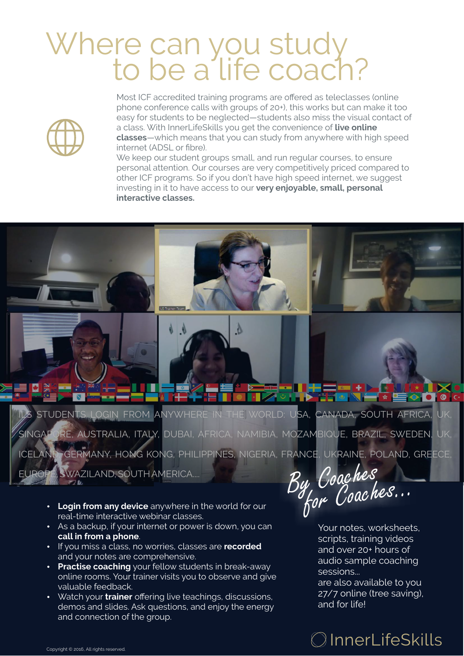### Where can you study to be a life coach?



Most ICF accredited training programs are offered as teleclasses (online phone conference calls with groups of 20+), this works but can make it too easy for students to be neglected—students also miss the visual contact of a class. With InnerLifeSkills you get the convenience of **live online classes**—which means that you can study from anywhere with high speed internet (ADSL or fibre).

We keep our student groups small, and run regular courses, to ensure personal attention. Our courses are very competitively priced compared to other ICF programs. So if you don't have high speed internet, we suggest investing in it to have access to our **very enjoyable, small, personal interactive classes.** 

ILS STUDENTS LOGIN FROM ANYWHERE IN THE WORLD: USA, CANADA, SOUTH AFRICA, UK, SINGAPORE, AUSTRALIA, ITALY, DUBAI, AFRICA, NAMIBIA, MOZAMBIQUE, BRAZIL, SWEDEN, UK, ICELAND, GERMANY, HONG KONG, PHILIPPINES, NIGERIA, FRANCE, UKRAINE, POLAND, GREECE, EUROPE, SWAZILAND, SOUTH AMERICA....

Δ

 $\blacksquare$ 

**Login from any device** anywhere in the world for our real-time interactive webinar classes.

ا کالا

- As a backup, if your internet or power is down, you can **call in from a phone**.
- $\cdot$  If you miss a class, no worries, classes are **recorded** and your notes are comprehensive.
- Practise coaching your fellow students in break-away online rooms. Your trainer visits you to observe and give valuable feedback.
- Watch your **trainer** offering live teachings, discussions, demos and slides. Ask questions, and enjoy the energy and connection of the group.

By Coaches for Coaches...

Your notes, worksheets, scripts, training videos and over 20+ hours of audio sample coaching sessions...

are also available to you 27/7 online (tree saving), and for life!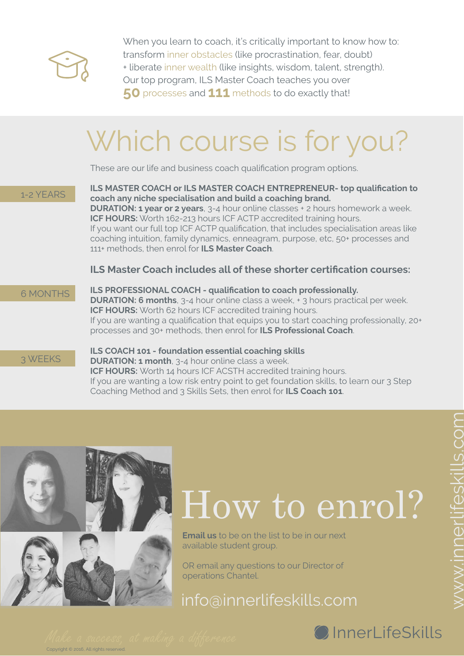

When you learn to coach, it's critically important to know how to: transform inner obstacles (like procrastination, fear, doubt) + liberate inner wealth (like insights, wisdom, talent, strength). Our top program, ILS Master Coach teaches you over 50 processes and 111 methods to do exactly that!

### Which course is for you?

These are our life and business coach qualification program options.

1-2 YEARS

**ILS MASTER COACH or ILS MASTER COACH ENTREPRENEUR- top qualification to coach any niche specialisation and build a coaching brand. DURATION: 1 year or 2 years**, 3-4 hour online classes + 2 hours homework a week. **ICF HOURS:** Worth 162-213 hours ICF ACTP accredited training hours. If you want our full top ICF ACTP qualification, that includes specialisation areas like coaching intuition, family dynamics, enneagram, purpose, etc, 50+ processes and 111+ methods, then enrol for **ILS Master Coach**.

#### **ILS Master Coach includes all of these shorter certification courses:**

6 MONTHS

**ILS PROFESSIONAL COACH - qualification to coach professionally. DURATION: 6 months**, 3-4 hour online class a week, + 3 hours practical per week. **ICF HOURS:** Worth 62 hours ICF accredited training hours. If you are wanting a qualification that equips you to start coaching professionally, 20+ processes and 30+ methods, then enrol for **ILS Professional Coach**.

3 WEEKS

#### **ILS COACH 101 - foundation essential coaching skills DURATION: 1 month**, 3-4 hour online class a week.

**ICF HOURS:** Worth 14 hours ICF ACSTH accredited training hours. If you are wanting a low risk entry point to get foundation skills, to learn our 3 Step Coaching Method and 3 Skills Sets, then enrol for **ILS Coach 101**.



Copyright © 2016, All rights reserved.

### How to enrol?

**Email us** to be on the list to be in our next available student group.

OR email any questions to our Director of operations Chantel.

info@innerlifeskills.com

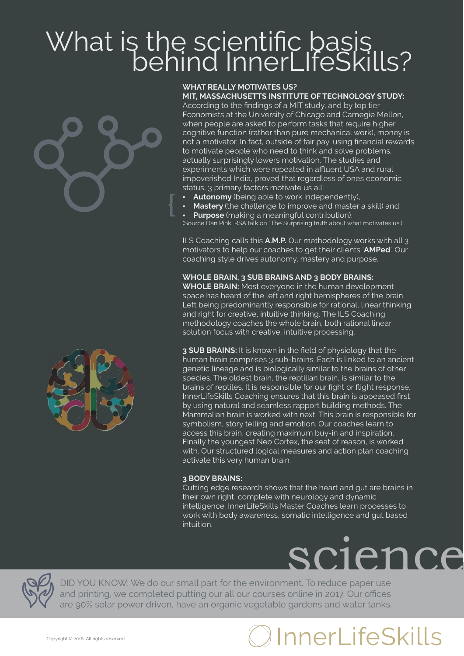## What is the scientific basis<br>behind InnerLIfeSkills?





#### **WHAT REALLY MOTIVATES US? MIT, MASSACHUSETTS INSTITUTE OF TECHNOLOGY STUDY:**

According to the findings of a MIT study, and by top tier Economists at the University of Chicago and Carnegie Mellon, when people are asked to perform tasks that require higher cognitive function (rather than pure mechanical work), money is not a motivator. In fact, outside of fair pay, using financial rewards to motivate people who need to think and solve problems, actually surprisingly lowers motivation. The studies and experiments which were repeated in affluent USA and rural impoverished India, proved that regardless of ones economic status, 3 primary factors motivate us all:

- Autonomy (being able to work independently),
- Mastery (the challenge to improve and master a skill) and
- Purpose (making a meaningful contribution).

(Source Dan Pink, RSA talk on "The Surprising truth about what motivates us.)

ILS Coaching calls this **A.M.P.** Our methodology works with all 3 motivators to help our coaches to get their clients '**AMPed**'. Our coaching style drives autonomy, mastery and purpose.

#### **WHOLE BRAIN, 3 SUB BRAINS AND 3 BODY BRAINS:**

**WHOLE BRAIN:** Most everyone in the human development space has heard of the left and right hemispheres of the brain. Left being predominantly responsible for rational, linear thinking and right for creative, intuitive thinking. The ILS Coaching methodology coaches the whole brain, both rational linear solution focus with creative, intuitive processing.

**3 SUB BRAINS:** It is known in the field of physiology that the human brain comprises 3 sub-brains. Each is linked to an ancient genetic lineage and is biologically similar to the brains of other species. The oldest brain, the reptilian brain, is similar to the brains of reptiles. It is responsible for our fight or flight response. InnerLifeSkills Coaching ensures that this brain is appeased first, by using natural and seamless rapport building methods. The Mammalian brain is worked with next. This brain is responsible for symbolism, story telling and emotion. Our coaches learn to access this brain, creating maximum buy-in and inspiration. Finally the youngest Neo Cortex, the seat of reason, is worked with. Our structured logical measures and action plan coaching activate this very human brain.

#### **3 BODY BRAINS:**

Cutting edge research shows that the heart and gut are brains in their own right, complete with neurology and dynamic intelligence. InnerLifeSkills Master Coaches learn processes to work with body awareness, somatic intelligence and gut based intuition.





DID YOU KNOW: We do our small part for the environment. To reduce paper use and printing, we completed putting our all our courses online in 2017. Our offices are 90% solar power driven, have an organic vegetable gardens and water tanks.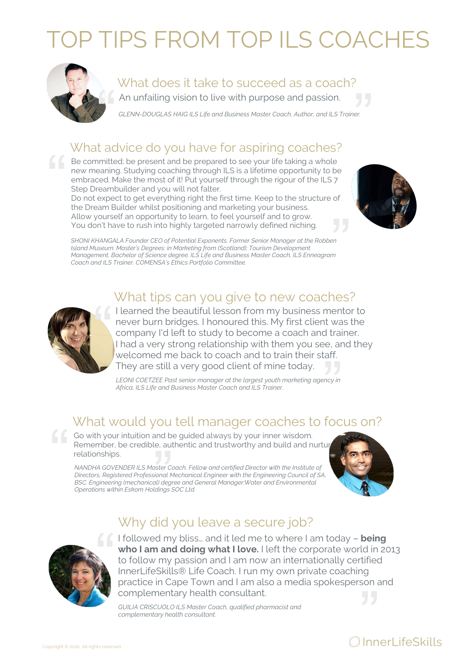### OP TIPS FROM TOP ILS COACHES



#### What does it take to succeed as a coach?

An unfailing vision to live with purpose and passion.

*GLENN-DOUGLAS HAIG ILS Life and Business Master Coach, Author, and ILS Trainer.* 

#### What advice do you have for aspiring coaches?

 $\mathcal{L}$  Be committed; be present and be prepared to see your life taking a whole new meaning. Studying coaching through ILS is a lifetime opportunity to be embraced. Make the most of it! Put yourself through the rigour of the ILS 7 Step Dreambuilder and you will not falter.

Do not expect to get everything right the first time. Keep to the structure of the Dream Builder whilst positioning and marketing your business. Allow yourself an opportunity to learn, to feel yourself and to grow. You don't have to rush into highly targeted narrowly defined niching.



*SHONI KHANGALA Founder CEO of Potential Exponents. Former Senior Manager at the Robben Island Museum. Master's Degrees: in Marketing from (Scotland); Tourism Development Management, Bachelor of Science degree. ILS Life and Business Master Coach, ILS Enneagram Coach and ILS Trainer. COMENSA's Ethics Portfolio Committee.* 

#### What tips can you give to new coaches?



I learned the beautiful lesson from my business mentor to never burn bridges. I honoured this. My first client was the company I'd left to study to become a coach and trainer. I had a very strong relationship with them you see, and they welcomed me back to coach and to train their staff. They are still a very good client of mine today.

LEONI COETZEE Past senior manager at the largest youth marketing agency in *Africa, ILS Life and Business Master Coach and ILS Trainer.* 

#### What would you tell manager coaches to focus on?

Go with your intuition and be guided always by your inner wisdom. Remember, be credible, authentic and trustworthy and build and nurture relationships.

*NANDHA GOVENDER ILS Master Coach, Fellow and certified Director with the Institute of Directors, Registered Professional Mechanical Engineer with the Engineering Council of SA, BSC. Engineering (mechanical) degree and General Manager:Water and Environmental Operations within Eskom Holdings SOC Ltd.*



I followed my bliss… and it led me to where I am today – **being who I am and doing what I love.** I left the corporate world in 2013 to follow my passion and I am now an internationally certified InnerLifeSkills® Life Coach. I run my own private coaching practice in Cape Town and I am also a media spokesperson and complementary health consultant.

*GUILIA CRISCUOLO ILS Master Coach, qualified pharmacist and complementary health consultant.*

Why did you leave a secure job?

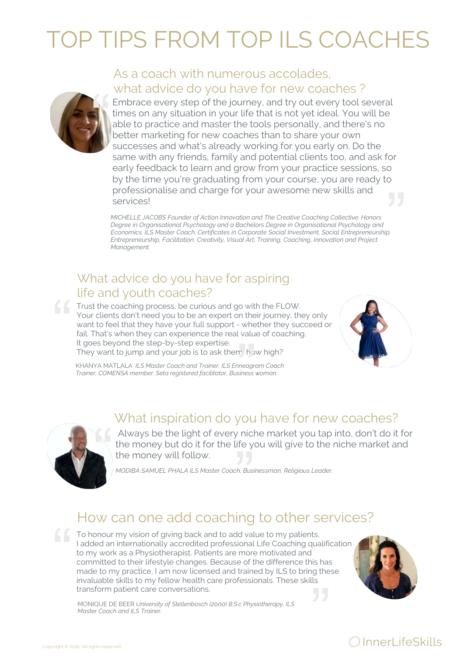### TOP TIPS FROM TOP ILS COACHE



#### As a coach with numerous accolades, what advice do you have for new coaches ?

Embrace every step of the journey, and try out every tool several times on any situation in your life that is not yet ideal. You will be able to practice and master the tools personally, and there's no better marketing for new coaches than to share your own successes and what's already working for you early on. Do the same with any friends, family and potential clients too, and ask for early feedback to learn and grow from your practice sessions, so by the time you're graduating from your course, you are ready to professionalise and charge for your awesome new skills and services!

*MICHELLE JACOBS Founder of Action Innovation and The Creative Coaching Collective. Honors Degree in Organisational Psychology and a Bachelors Degree in Organisational Psychology and Economics. ILS Master Coach. Certificates in Corporate Social Investment, Social Entrepreneurship, Entrepreneurship, Facilitation, Creativity, Visual Art, Training, Coaching, Innovation and Project Management.* 

#### What advice do you have for aspiring life and youth coaches?

**Trust the coaching process, be curious and go with the FLOW.** Your clients don't need you to be an expert on their journey, they only want to feel that they have your full support - whether they succeed or fail. That's when they can experience the real value of coaching. It goes beyond the step-by-step expertise. They want to jump and your job is to ask them; h w high?



KHANYA MATLALA *ILS Master Coach and Trainer, ILS Enneagram Coach Trainer, COMENSA member. Seta registered facilitator, Business woman.*

#### What inspiration do you have for new coaches?



 Always be the light of every niche market you tap into, don't do it for the money but do it for the life you will give to the niche market and the money will follow.

*MODIBA SAMUEL PHALA ILS Master Coach, Businessman, Religious Leader.* 

#### How can one add coaching to other services?

To honour my vision of giving back and to add value to my patients, I added an internationally accredited professional Life Coaching qualification to my work as a Physiotherapist. Patients are more motivated and committed to their lifestyle changes. Because of the difference this has made to my practice, I am now licensed and trained by ILS to bring these invaluable skills to my fellow health care professionals. These skills transform patient care conversations.



MONIQUE DE BEER *University of Stellenbosch (2000) B.S.c Physiotherapy, ILS Master Coach and ILS Trainer.*